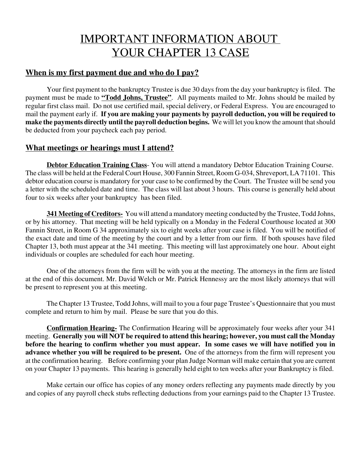# IMPORTANT INFORMATION ABOUT YOUR CHAPTER 13 CASE

#### **When is my first payment due and who do I pay?**

Your first payment to the bankruptcy Trustee is due 30 days from the day your bankruptcy is filed. The payment must be made to **"Todd Johns, Trustee"**. All payments mailed to Mr. Johns should be mailed by regular first class mail. Do not use certified mail, special delivery, or Federal Express. You are encouraged to mail the payment early if. **If you are making your payments by payroll deduction, you will be required to make the payments directly until the payroll deduction begins.** We will let you know the amount that should be deducted from your paycheck each pay period.

#### **What meetings or hearings must I attend?**

**Debtor Education Training Class**- You will attend a mandatory Debtor Education Training Course. The class will be held at the Federal Court House, 300 Fannin Street, Room G-034, Shreveport, LA 71101. This debtor education course is mandatory for your case to be confirmed by the Court. The Trustee will be send you a letter with the scheduled date and time. The class will last about 3 hours. This course is generally held about four to six weeks after your bankruptcy has been filed.

**341 Meeting of Creditors-** You will attend a mandatory meeting conducted by the Trustee, Todd Johns, or by his attorney. That meeting will be held typically on a Monday in the Federal Courthouse located at 300 Fannin Street, in Room G 34 approximately six to eight weeks after your case is filed. You will be notified of the exact date and time of the meeting by the court and by a letter from our firm. If both spouses have filed Chapter 13, both must appear at the 341 meeting. This meeting will last approximately one hour. About eight individuals or couples are scheduled for each hour meeting.

One of the attorneys from the firm will be with you at the meeting. The attorneys in the firm are listed at the end of this document. Mr. David Welch or Mr. Patrick Hennessy are the most likely attorneys that will be present to represent you at this meeting.

The Chapter 13 Trustee, Todd Johns, will mail to you a four page Trustee's Questionnaire that you must complete and return to him by mail. Please be sure that you do this.

**Confirmation Hearing-** The Confirmation Hearing will be approximately four weeks after your 341 meeting. **Generally you will NOT be required to attend this hearing; however, you must call the Monday before the hearing to confirm whether you must appear. In some cases we will have notified you in advance whether you will be required to be present.** One of the attorneys from the firm will represent you at the confirmation hearing. Before confirming your plan Judge Norman will make certain that you are current on your Chapter 13 payments. This hearing is generally held eight to ten weeks after your Bankruptcy is filed.

Make certain our office has copies of any money orders reflecting any payments made directly by you and copies of any payroll check stubs reflecting deductions from your earnings paid to the Chapter 13 Trustee.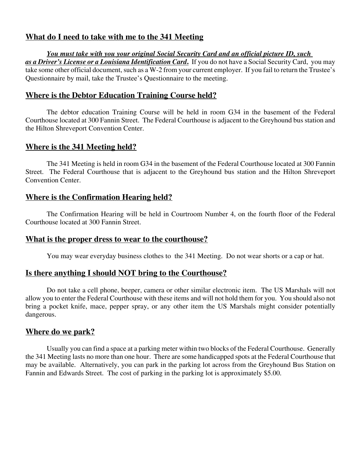### **What do I need to take with me to the 341 Meeting**

*You must take with you your original Social Security Card and an official picture ID, such as a Driver's License or a Louisiana Identification Card***.** If you do not have a Social Security Card, you may take some other official document, such as a W-2 from your current employer. If you fail to return the Trustee's Questionnaire by mail, take the Trustee's Questionnaire to the meeting.

#### **Where is the Debtor Education Training Course held?**

The debtor education Training Course will be held in room G34 in the basement of the Federal Courthouse located at 300 Fannin Street. The Federal Courthouse is adjacent to the Greyhound bus station and the Hilton Shreveport Convention Center.

#### **Where is the 341 Meeting held?**

The 341 Meeting is held in room G34 in the basement of the Federal Courthouse located at 300 Fannin Street. The Federal Courthouse that is adjacent to the Greyhound bus station and the Hilton Shreveport Convention Center.

#### **Where is the Confirmation Hearing held?**

The Confirmation Hearing will be held in Courtroom Number 4, on the fourth floor of the Federal Courthouse located at 300 Fannin Street.

#### **What is the proper dress to wear to the courthouse?**

You may wear everyday business clothes to the 341 Meeting. Do not wear shorts or a cap or hat.

#### **Is there anything I should NOT bring to the Courthouse?**

Do not take a cell phone, beeper, camera or other similar electronic item. The US Marshals will not allow you to enter the Federal Courthouse with these items and will not hold them for you. You should also not bring a pocket knife, mace, pepper spray, or any other item the US Marshals might consider potentially dangerous.

#### **Where do we park?**

Usually you can find a space at a parking meter within two blocks of the Federal Courthouse. Generally the 341 Meeting lasts no more than one hour. There are some handicapped spots at the Federal Courthouse that may be available. Alternatively, you can park in the parking lot across from the Greyhound Bus Station on Fannin and Edwards Street. The cost of parking in the parking lot is approximately \$5.00.